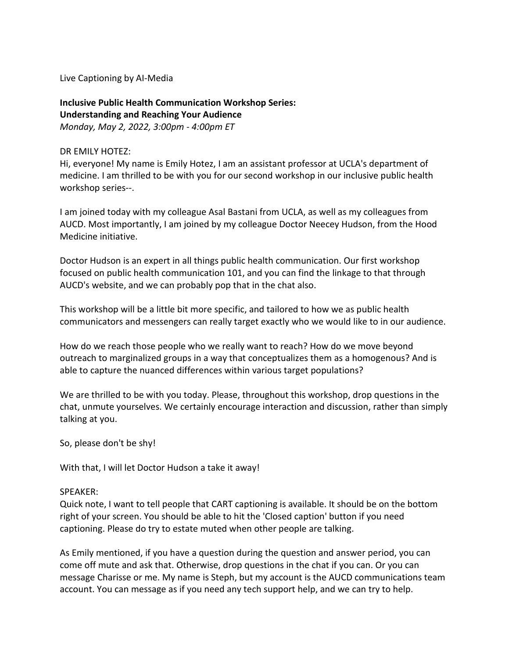Live Captioning by AI-Media

# **Inclusive Public Health Communication Workshop Series: Understanding and Reaching Your Audience**

*Monday, May 2, 2022, 3:00pm - 4:00pm ET*

## DR EMILY HOTEZ:

Hi, everyone! My name is Emily Hotez, I am an assistant professor at UCLA's department of medicine. I am thrilled to be with you for our second workshop in our inclusive public health workshop series--.

I am joined today with my colleague Asal Bastani from UCLA, as well as my colleagues from AUCD. Most importantly, I am joined by my colleague Doctor Neecey Hudson, from the Hood Medicine initiative.

Doctor Hudson is an expert in all things public health communication. Our first workshop focused on public health communication 101, and you can find the linkage to that through AUCD's website, and we can probably pop that in the chat also.

This workshop will be a little bit more specific, and tailored to how we as public health communicators and messengers can really target exactly who we would like to in our audience.

How do we reach those people who we really want to reach? How do we move beyond outreach to marginalized groups in a way that conceptualizes them as a homogenous? And is able to capture the nuanced differences within various target populations?

We are thrilled to be with you today. Please, throughout this workshop, drop questions in the chat, unmute yourselves. We certainly encourage interaction and discussion, rather than simply talking at you.

So, please don't be shy!

With that, I will let Doctor Hudson a take it away!

## SPEAKER:

Quick note, I want to tell people that CART captioning is available. It should be on the bottom right of your screen. You should be able to hit the 'Closed caption' button if you need captioning. Please do try to estate muted when other people are talking.

As Emily mentioned, if you have a question during the question and answer period, you can come off mute and ask that. Otherwise, drop questions in the chat if you can. Or you can message Charisse or me. My name is Steph, but my account is the AUCD communications team account. You can message as if you need any tech support help, and we can try to help.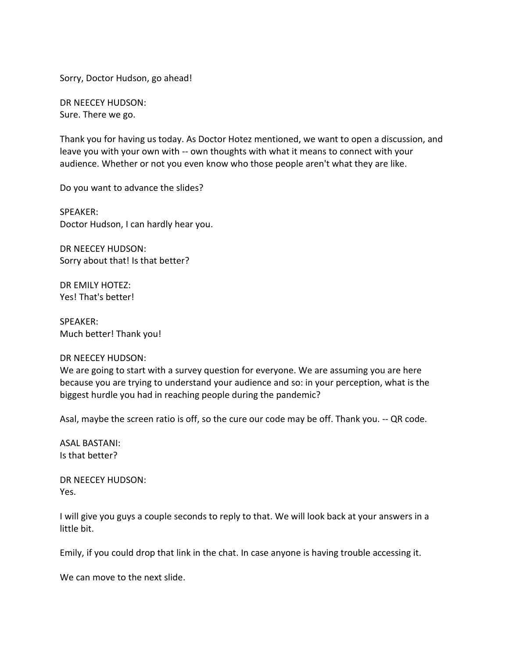Sorry, Doctor Hudson, go ahead!

DR NEECEY HUDSON: Sure. There we go.

Thank you for having us today. As Doctor Hotez mentioned, we want to open a discussion, and leave you with your own with -- own thoughts with what it means to connect with your audience. Whether or not you even know who those people aren't what they are like.

Do you want to advance the slides?

SPEAKER: Doctor Hudson, I can hardly hear you.

DR NEECEY HUDSON: Sorry about that! Is that better?

DR EMILY HOTEZ: Yes! That's better!

SPEAKER: Much better! Thank you!

#### DR NEECEY HUDSON:

We are going to start with a survey question for everyone. We are assuming you are here because you are trying to understand your audience and so: in your perception, what is the biggest hurdle you had in reaching people during the pandemic?

Asal, maybe the screen ratio is off, so the cure our code may be off. Thank you. -- QR code.

ASAL BASTANI: Is that better?

DR NEECEY HUDSON: Yes.

I will give you guys a couple seconds to reply to that. We will look back at your answers in a little bit.

Emily, if you could drop that link in the chat. In case anyone is having trouble accessing it.

We can move to the next slide.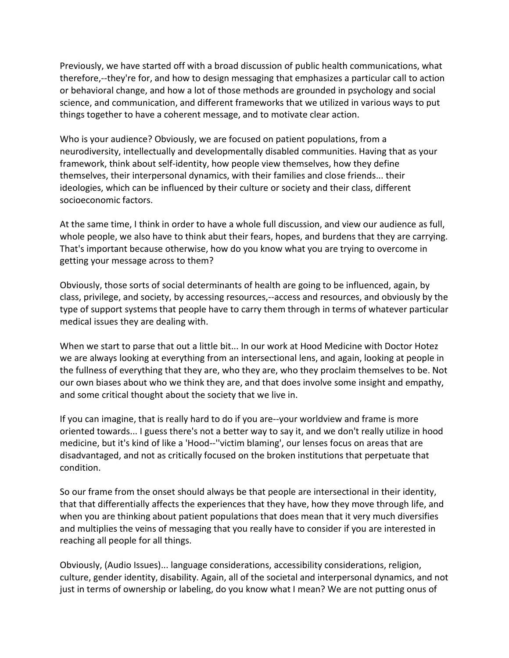Previously, we have started off with a broad discussion of public health communications, what therefore,--they're for, and how to design messaging that emphasizes a particular call to action or behavioral change, and how a lot of those methods are grounded in psychology and social science, and communication, and different frameworks that we utilized in various ways to put things together to have a coherent message, and to motivate clear action.

Who is your audience? Obviously, we are focused on patient populations, from a neurodiversity, intellectually and developmentally disabled communities. Having that as your framework, think about self-identity, how people view themselves, how they define themselves, their interpersonal dynamics, with their families and close friends... their ideologies, which can be influenced by their culture or society and their class, different socioeconomic factors.

At the same time, I think in order to have a whole full discussion, and view our audience as full, whole people, we also have to think abut their fears, hopes, and burdens that they are carrying. That's important because otherwise, how do you know what you are trying to overcome in getting your message across to them?

Obviously, those sorts of social determinants of health are going to be influenced, again, by class, privilege, and society, by accessing resources,--access and resources, and obviously by the type of support systems that people have to carry them through in terms of whatever particular medical issues they are dealing with.

When we start to parse that out a little bit... In our work at Hood Medicine with Doctor Hotez we are always looking at everything from an intersectional lens, and again, looking at people in the fullness of everything that they are, who they are, who they proclaim themselves to be. Not our own biases about who we think they are, and that does involve some insight and empathy, and some critical thought about the society that we live in.

If you can imagine, that is really hard to do if you are--your worldview and frame is more oriented towards... I guess there's not a better way to say it, and we don't really utilize in hood medicine, but it's kind of like a 'Hood--''victim blaming', our lenses focus on areas that are disadvantaged, and not as critically focused on the broken institutions that perpetuate that condition.

So our frame from the onset should always be that people are intersectional in their identity, that that differentially affects the experiences that they have, how they move through life, and when you are thinking about patient populations that does mean that it very much diversifies and multiplies the veins of messaging that you really have to consider if you are interested in reaching all people for all things.

Obviously, (Audio Issues)... language considerations, accessibility considerations, religion, culture, gender identity, disability. Again, all of the societal and interpersonal dynamics, and not just in terms of ownership or labeling, do you know what I mean? We are not putting onus of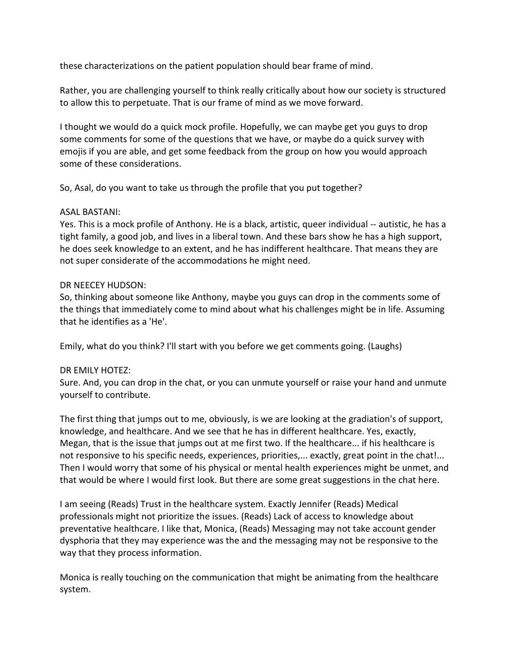these characterizations on the patient population should bear frame of mind.

Rather, you are challenging yourself to think really critically about how our society is structured to allow this to perpetuate. That is our frame of mind as we move forward.

I thought we would do a quick mock profile. Hopefully, we can maybe get you guys to drop some comments for some of the questions that we have, or maybe do a quick survey with emojis if you are able, and get some feedback from the group on how you would approach some of these considerations.

So, Asal, do you want to take us through the profile that you put together?

## ASAL BASTANI:

Yes. This is a mock profile of Anthony. He is a black, artistic, queer individual -- autistic, he has a tight family, a good job, and lives in a liberal town. And these bars show he has a high support, he does seek knowledge to an extent, and he has indifferent healthcare. That means they are not super considerate of the accommodations he might need.

### DR NEECEY HUDSON:

So, thinking about someone like Anthony, maybe you guys can drop in the comments some of the things that immediately come to mind about what his challenges might be in life. Assuming that he identifies as a 'He'.

Emily, what do you think? I'll start with you before we get comments going. (Laughs)

## DR EMILY HOTEZ:

Sure. And, you can drop in the chat, or you can unmute yourself or raise your hand and unmute yourself to contribute.

The first thing that jumps out to me, obviously, is we are looking at the gradiation's of support, knowledge, and healthcare. And we see that he has in different healthcare. Yes, exactly, Megan, that is the issue that jumps out at me first two. If the healthcare... if his healthcare is not responsive to his specific needs, experiences, priorities,... exactly, great point in the chat!... Then I would worry that some of his physical or mental health experiences might be unmet, and that would be where I would first look. But there are some great suggestions in the chat here.

I am seeing (Reads) Trust in the healthcare system. Exactly Jennifer (Reads) Medical professionals might not prioritize the issues. (Reads) Lack of access to knowledge about preventative healthcare. I like that, Monica, (Reads) Messaging may not take account gender dysphoria that they may experience was the and the messaging may not be responsive to the way that they process information.

Monica is really touching on the communication that might be animating from the healthcare system.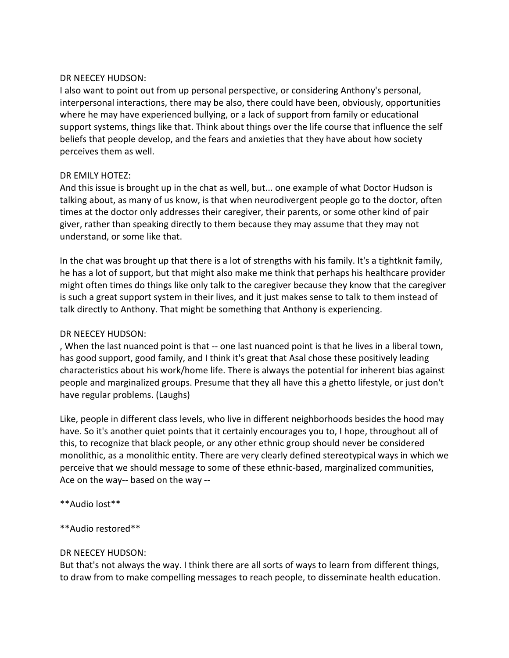## DR NEECEY HUDSON:

I also want to point out from up personal perspective, or considering Anthony's personal, interpersonal interactions, there may be also, there could have been, obviously, opportunities where he may have experienced bullying, or a lack of support from family or educational support systems, things like that. Think about things over the life course that influence the self beliefs that people develop, and the fears and anxieties that they have about how society perceives them as well.

## DR EMILY HOTEZ:

And this issue is brought up in the chat as well, but... one example of what Doctor Hudson is talking about, as many of us know, is that when neurodivergent people go to the doctor, often times at the doctor only addresses their caregiver, their parents, or some other kind of pair giver, rather than speaking directly to them because they may assume that they may not understand, or some like that.

In the chat was brought up that there is a lot of strengths with his family. It's a tightknit family, he has a lot of support, but that might also make me think that perhaps his healthcare provider might often times do things like only talk to the caregiver because they know that the caregiver is such a great support system in their lives, and it just makes sense to talk to them instead of talk directly to Anthony. That might be something that Anthony is experiencing.

## DR NEECEY HUDSON:

, When the last nuanced point is that -- one last nuanced point is that he lives in a liberal town, has good support, good family, and I think it's great that Asal chose these positively leading characteristics about his work/home life. There is always the potential for inherent bias against people and marginalized groups. Presume that they all have this a ghetto lifestyle, or just don't have regular problems. (Laughs)

Like, people in different class levels, who live in different neighborhoods besides the hood may have. So it's another quiet points that it certainly encourages you to, I hope, throughout all of this, to recognize that black people, or any other ethnic group should never be considered monolithic, as a monolithic entity. There are very clearly defined stereotypical ways in which we perceive that we should message to some of these ethnic-based, marginalized communities, Ace on the way-- based on the way --

\*\*Audio lost\*\*

## \*\*Audio restored\*\*

## DR NEECEY HUDSON:

But that's not always the way. I think there are all sorts of ways to learn from different things, to draw from to make compelling messages to reach people, to disseminate health education.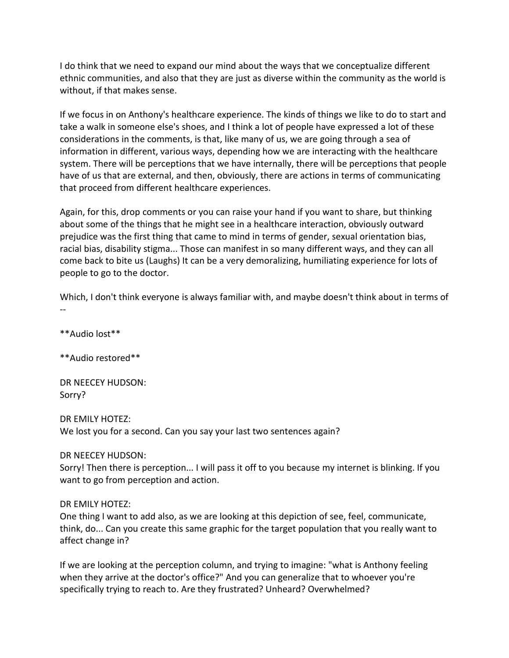I do think that we need to expand our mind about the ways that we conceptualize different ethnic communities, and also that they are just as diverse within the community as the world is without, if that makes sense.

If we focus in on Anthony's healthcare experience. The kinds of things we like to do to start and take a walk in someone else's shoes, and I think a lot of people have expressed a lot of these considerations in the comments, is that, like many of us, we are going through a sea of information in different, various ways, depending how we are interacting with the healthcare system. There will be perceptions that we have internally, there will be perceptions that people have of us that are external, and then, obviously, there are actions in terms of communicating that proceed from different healthcare experiences.

Again, for this, drop comments or you can raise your hand if you want to share, but thinking about some of the things that he might see in a healthcare interaction, obviously outward prejudice was the first thing that came to mind in terms of gender, sexual orientation bias, racial bias, disability stigma... Those can manifest in so many different ways, and they can all come back to bite us (Laughs) It can be a very demoralizing, humiliating experience for lots of people to go to the doctor.

Which, I don't think everyone is always familiar with, and maybe doesn't think about in terms of --

\*\*Audio lost\*\*

\*\*Audio restored\*\*

DR NEECEY HUDSON: Sorry?

DR EMILY HOTEZ: We lost you for a second. Can you say your last two sentences again?

DR NEECEY HUDSON:

Sorry! Then there is perception... I will pass it off to you because my internet is blinking. If you want to go from perception and action.

#### DR EMILY HOTEZ:

One thing I want to add also, as we are looking at this depiction of see, feel, communicate, think, do... Can you create this same graphic for the target population that you really want to affect change in?

If we are looking at the perception column, and trying to imagine: "what is Anthony feeling when they arrive at the doctor's office?" And you can generalize that to whoever you're specifically trying to reach to. Are they frustrated? Unheard? Overwhelmed?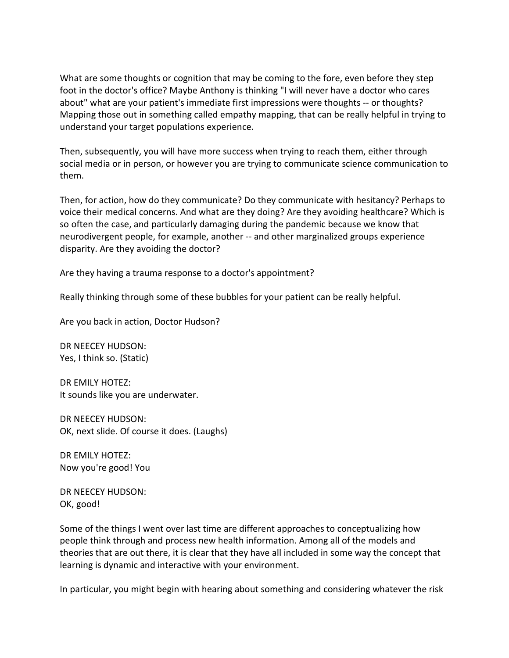What are some thoughts or cognition that may be coming to the fore, even before they step foot in the doctor's office? Maybe Anthony is thinking "I will never have a doctor who cares about" what are your patient's immediate first impressions were thoughts -- or thoughts? Mapping those out in something called empathy mapping, that can be really helpful in trying to understand your target populations experience.

Then, subsequently, you will have more success when trying to reach them, either through social media or in person, or however you are trying to communicate science communication to them.

Then, for action, how do they communicate? Do they communicate with hesitancy? Perhaps to voice their medical concerns. And what are they doing? Are they avoiding healthcare? Which is so often the case, and particularly damaging during the pandemic because we know that neurodivergent people, for example, another -- and other marginalized groups experience disparity. Are they avoiding the doctor?

Are they having a trauma response to a doctor's appointment?

Really thinking through some of these bubbles for your patient can be really helpful.

Are you back in action, Doctor Hudson?

DR NEECEY HUDSON: Yes, I think so. (Static)

DR EMILY HOTEZ: It sounds like you are underwater.

DR NEECEY HUDSON: OK, next slide. Of course it does. (Laughs)

DR EMILY HOTEZ: Now you're good! You

DR NEECEY HUDSON: OK, good!

Some of the things I went over last time are different approaches to conceptualizing how people think through and process new health information. Among all of the models and theories that are out there, it is clear that they have all included in some way the concept that learning is dynamic and interactive with your environment.

In particular, you might begin with hearing about something and considering whatever the risk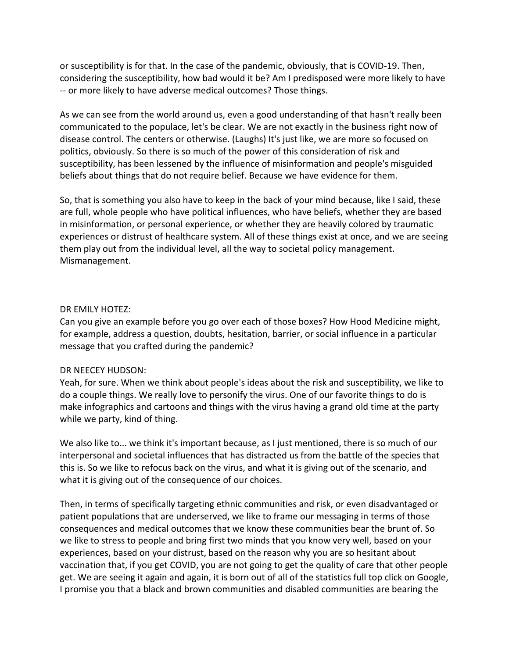or susceptibility is for that. In the case of the pandemic, obviously, that is COVID-19. Then, considering the susceptibility, how bad would it be? Am I predisposed were more likely to have -- or more likely to have adverse medical outcomes? Those things.

As we can see from the world around us, even a good understanding of that hasn't really been communicated to the populace, let's be clear. We are not exactly in the business right now of disease control. The centers or otherwise. (Laughs) It's just like, we are more so focused on politics, obviously. So there is so much of the power of this consideration of risk and susceptibility, has been lessened by the influence of misinformation and people's misguided beliefs about things that do not require belief. Because we have evidence for them.

So, that is something you also have to keep in the back of your mind because, like I said, these are full, whole people who have political influences, who have beliefs, whether they are based in misinformation, or personal experience, or whether they are heavily colored by traumatic experiences or distrust of healthcare system. All of these things exist at once, and we are seeing them play out from the individual level, all the way to societal policy management. Mismanagement.

## DR EMILY HOTEZ:

Can you give an example before you go over each of those boxes? How Hood Medicine might, for example, address a question, doubts, hesitation, barrier, or social influence in a particular message that you crafted during the pandemic?

## DR NEECEY HUDSON:

Yeah, for sure. When we think about people's ideas about the risk and susceptibility, we like to do a couple things. We really love to personify the virus. One of our favorite things to do is make infographics and cartoons and things with the virus having a grand old time at the party while we party, kind of thing.

We also like to... we think it's important because, as I just mentioned, there is so much of our interpersonal and societal influences that has distracted us from the battle of the species that this is. So we like to refocus back on the virus, and what it is giving out of the scenario, and what it is giving out of the consequence of our choices.

Then, in terms of specifically targeting ethnic communities and risk, or even disadvantaged or patient populations that are underserved, we like to frame our messaging in terms of those consequences and medical outcomes that we know these communities bear the brunt of. So we like to stress to people and bring first two minds that you know very well, based on your experiences, based on your distrust, based on the reason why you are so hesitant about vaccination that, if you get COVID, you are not going to get the quality of care that other people get. We are seeing it again and again, it is born out of all of the statistics full top click on Google, I promise you that a black and brown communities and disabled communities are bearing the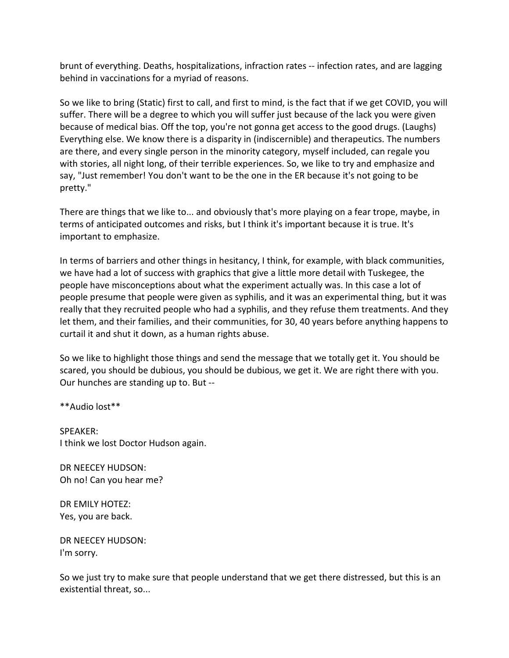brunt of everything. Deaths, hospitalizations, infraction rates -- infection rates, and are lagging behind in vaccinations for a myriad of reasons.

So we like to bring (Static) first to call, and first to mind, is the fact that if we get COVID, you will suffer. There will be a degree to which you will suffer just because of the lack you were given because of medical bias. Off the top, you're not gonna get access to the good drugs. (Laughs) Everything else. We know there is a disparity in (indiscernible) and therapeutics. The numbers are there, and every single person in the minority category, myself included, can regale you with stories, all night long, of their terrible experiences. So, we like to try and emphasize and say, "Just remember! You don't want to be the one in the ER because it's not going to be pretty."

There are things that we like to... and obviously that's more playing on a fear trope, maybe, in terms of anticipated outcomes and risks, but I think it's important because it is true. It's important to emphasize.

In terms of barriers and other things in hesitancy, I think, for example, with black communities, we have had a lot of success with graphics that give a little more detail with Tuskegee, the people have misconceptions about what the experiment actually was. In this case a lot of people presume that people were given as syphilis, and it was an experimental thing, but it was really that they recruited people who had a syphilis, and they refuse them treatments. And they let them, and their families, and their communities, for 30, 40 years before anything happens to curtail it and shut it down, as a human rights abuse.

So we like to highlight those things and send the message that we totally get it. You should be scared, you should be dubious, you should be dubious, we get it. We are right there with you. Our hunches are standing up to. But --

\*\*Audio lost\*\*

SPEAKER: I think we lost Doctor Hudson again.

DR NEECEY HUDSON: Oh no! Can you hear me?

DR EMILY HOTEZ: Yes, you are back.

DR NEECEY HUDSON: I'm sorry.

So we just try to make sure that people understand that we get there distressed, but this is an existential threat, so...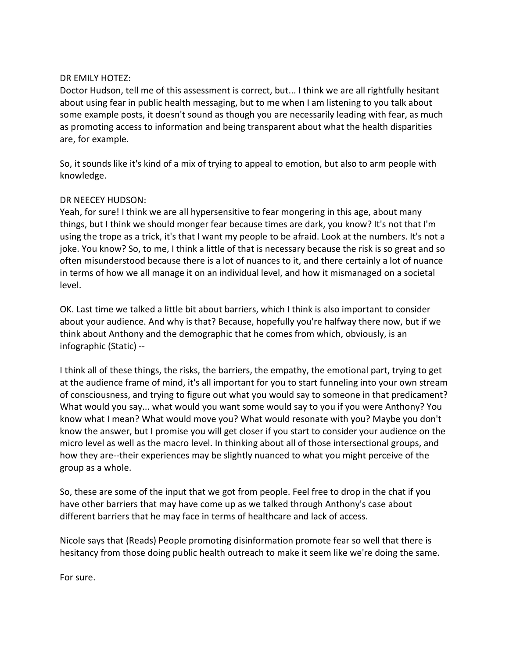## DR EMILY HOTEZ:

Doctor Hudson, tell me of this assessment is correct, but... I think we are all rightfully hesitant about using fear in public health messaging, but to me when I am listening to you talk about some example posts, it doesn't sound as though you are necessarily leading with fear, as much as promoting access to information and being transparent about what the health disparities are, for example.

So, it sounds like it's kind of a mix of trying to appeal to emotion, but also to arm people with knowledge.

## DR NEECEY HUDSON:

Yeah, for sure! I think we are all hypersensitive to fear mongering in this age, about many things, but I think we should monger fear because times are dark, you know? It's not that I'm using the trope as a trick, it's that I want my people to be afraid. Look at the numbers. It's not a joke. You know? So, to me, I think a little of that is necessary because the risk is so great and so often misunderstood because there is a lot of nuances to it, and there certainly a lot of nuance in terms of how we all manage it on an individual level, and how it mismanaged on a societal level.

OK. Last time we talked a little bit about barriers, which I think is also important to consider about your audience. And why is that? Because, hopefully you're halfway there now, but if we think about Anthony and the demographic that he comes from which, obviously, is an infographic (Static) --

I think all of these things, the risks, the barriers, the empathy, the emotional part, trying to get at the audience frame of mind, it's all important for you to start funneling into your own stream of consciousness, and trying to figure out what you would say to someone in that predicament? What would you say... what would you want some would say to you if you were Anthony? You know what I mean? What would move you? What would resonate with you? Maybe you don't know the answer, but I promise you will get closer if you start to consider your audience on the micro level as well as the macro level. In thinking about all of those intersectional groups, and how they are--their experiences may be slightly nuanced to what you might perceive of the group as a whole.

So, these are some of the input that we got from people. Feel free to drop in the chat if you have other barriers that may have come up as we talked through Anthony's case about different barriers that he may face in terms of healthcare and lack of access.

Nicole says that (Reads) People promoting disinformation promote fear so well that there is hesitancy from those doing public health outreach to make it seem like we're doing the same.

For sure.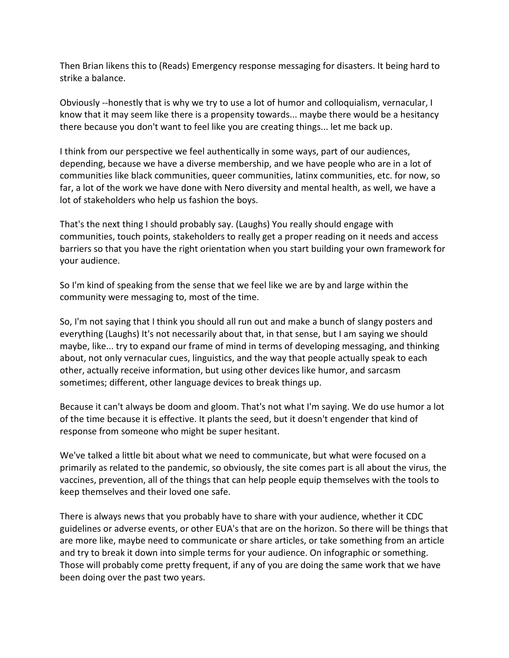Then Brian likens this to (Reads) Emergency response messaging for disasters. It being hard to strike a balance.

Obviously --honestly that is why we try to use a lot of humor and colloquialism, vernacular, I know that it may seem like there is a propensity towards... maybe there would be a hesitancy there because you don't want to feel like you are creating things... let me back up.

I think from our perspective we feel authentically in some ways, part of our audiences, depending, because we have a diverse membership, and we have people who are in a lot of communities like black communities, queer communities, latinx communities, etc. for now, so far, a lot of the work we have done with Nero diversity and mental health, as well, we have a lot of stakeholders who help us fashion the boys.

That's the next thing I should probably say. (Laughs) You really should engage with communities, touch points, stakeholders to really get a proper reading on it needs and access barriers so that you have the right orientation when you start building your own framework for your audience.

So I'm kind of speaking from the sense that we feel like we are by and large within the community were messaging to, most of the time.

So, I'm not saying that I think you should all run out and make a bunch of slangy posters and everything (Laughs) It's not necessarily about that, in that sense, but I am saying we should maybe, like... try to expand our frame of mind in terms of developing messaging, and thinking about, not only vernacular cues, linguistics, and the way that people actually speak to each other, actually receive information, but using other devices like humor, and sarcasm sometimes; different, other language devices to break things up.

Because it can't always be doom and gloom. That's not what I'm saying. We do use humor a lot of the time because it is effective. It plants the seed, but it doesn't engender that kind of response from someone who might be super hesitant.

We've talked a little bit about what we need to communicate, but what were focused on a primarily as related to the pandemic, so obviously, the site comes part is all about the virus, the vaccines, prevention, all of the things that can help people equip themselves with the tools to keep themselves and their loved one safe.

There is always news that you probably have to share with your audience, whether it CDC guidelines or adverse events, or other EUA's that are on the horizon. So there will be things that are more like, maybe need to communicate or share articles, or take something from an article and try to break it down into simple terms for your audience. On infographic or something. Those will probably come pretty frequent, if any of you are doing the same work that we have been doing over the past two years.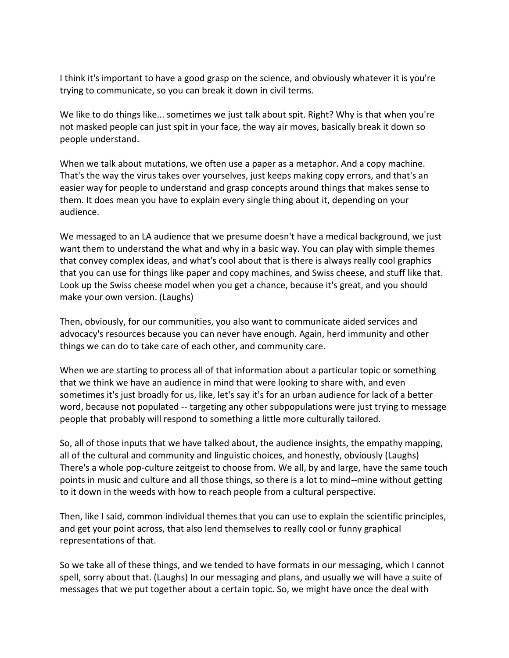I think it's important to have a good grasp on the science, and obviously whatever it is you're trying to communicate, so you can break it down in civil terms.

We like to do things like... sometimes we just talk about spit. Right? Why is that when you're not masked people can just spit in your face, the way air moves, basically break it down so people understand.

When we talk about mutations, we often use a paper as a metaphor. And a copy machine. That's the way the virus takes over yourselves, just keeps making copy errors, and that's an easier way for people to understand and grasp concepts around things that makes sense to them. It does mean you have to explain every single thing about it, depending on your audience.

We messaged to an LA audience that we presume doesn't have a medical background, we just want them to understand the what and why in a basic way. You can play with simple themes that convey complex ideas, and what's cool about that is there is always really cool graphics that you can use for things like paper and copy machines, and Swiss cheese, and stuff like that. Look up the Swiss cheese model when you get a chance, because it's great, and you should make your own version. (Laughs)

Then, obviously, for our communities, you also want to communicate aided services and advocacy's resources because you can never have enough. Again, herd immunity and other things we can do to take care of each other, and community care.

When we are starting to process all of that information about a particular topic or something that we think we have an audience in mind that were looking to share with, and even sometimes it's just broadly for us, like, let's say it's for an urban audience for lack of a better word, because not populated -- targeting any other subpopulations were just trying to message people that probably will respond to something a little more culturally tailored.

So, all of those inputs that we have talked about, the audience insights, the empathy mapping, all of the cultural and community and linguistic choices, and honestly, obviously (Laughs) There's a whole pop-culture zeitgeist to choose from. We all, by and large, have the same touch points in music and culture and all those things, so there is a lot to mind--mine without getting to it down in the weeds with how to reach people from a cultural perspective.

Then, like I said, common individual themes that you can use to explain the scientific principles, and get your point across, that also lend themselves to really cool or funny graphical representations of that.

So we take all of these things, and we tended to have formats in our messaging, which I cannot spell, sorry about that. (Laughs) In our messaging and plans, and usually we will have a suite of messages that we put together about a certain topic. So, we might have once the deal with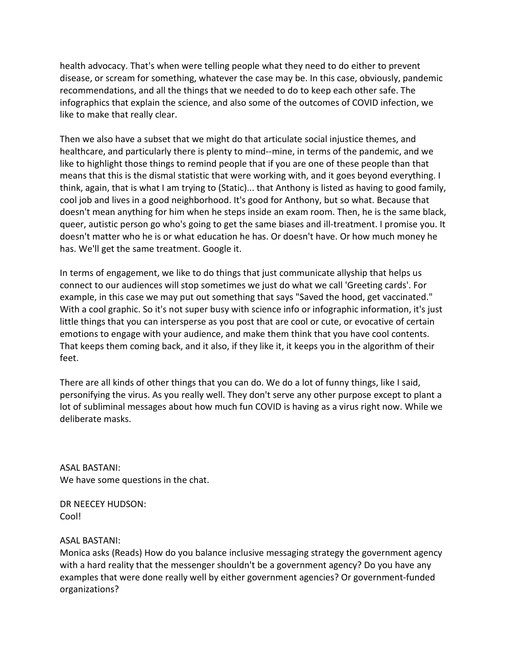health advocacy. That's when were telling people what they need to do either to prevent disease, or scream for something, whatever the case may be. In this case, obviously, pandemic recommendations, and all the things that we needed to do to keep each other safe. The infographics that explain the science, and also some of the outcomes of COVID infection, we like to make that really clear.

Then we also have a subset that we might do that articulate social injustice themes, and healthcare, and particularly there is plenty to mind--mine, in terms of the pandemic, and we like to highlight those things to remind people that if you are one of these people than that means that this is the dismal statistic that were working with, and it goes beyond everything. I think, again, that is what I am trying to (Static)... that Anthony is listed as having to good family, cool job and lives in a good neighborhood. It's good for Anthony, but so what. Because that doesn't mean anything for him when he steps inside an exam room. Then, he is the same black, queer, autistic person go who's going to get the same biases and ill-treatment. I promise you. It doesn't matter who he is or what education he has. Or doesn't have. Or how much money he has. We'll get the same treatment. Google it.

In terms of engagement, we like to do things that just communicate allyship that helps us connect to our audiences will stop sometimes we just do what we call 'Greeting cards'. For example, in this case we may put out something that says "Saved the hood, get vaccinated." With a cool graphic. So it's not super busy with science info or infographic information, it's just little things that you can intersperse as you post that are cool or cute, or evocative of certain emotions to engage with your audience, and make them think that you have cool contents. That keeps them coming back, and it also, if they like it, it keeps you in the algorithm of their feet.

There are all kinds of other things that you can do. We do a lot of funny things, like I said, personifying the virus. As you really well. They don't serve any other purpose except to plant a lot of subliminal messages about how much fun COVID is having as a virus right now. While we deliberate masks.

ASAL BASTANI: We have some questions in the chat.

DR NEECEY HUDSON: Cool!

## ASAL BASTANI:

Monica asks (Reads) How do you balance inclusive messaging strategy the government agency with a hard reality that the messenger shouldn't be a government agency? Do you have any examples that were done really well by either government agencies? Or government-funded organizations?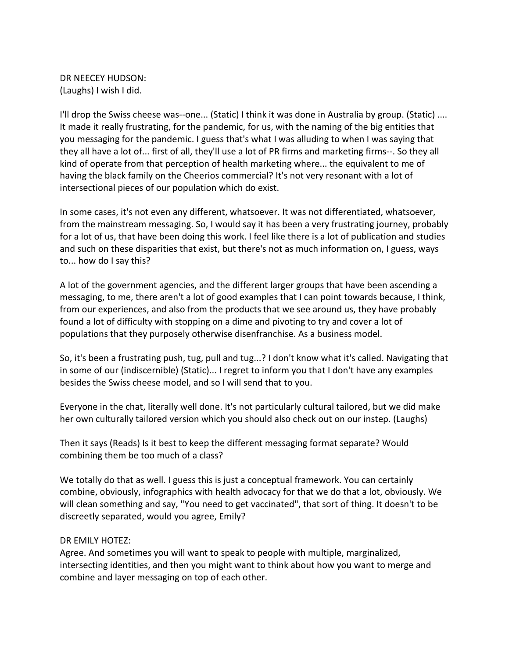DR NEECEY HUDSON: (Laughs) I wish I did.

I'll drop the Swiss cheese was--one... (Static) I think it was done in Australia by group. (Static) .... It made it really frustrating, for the pandemic, for us, with the naming of the big entities that you messaging for the pandemic. I guess that's what I was alluding to when I was saying that they all have a lot of... first of all, they'll use a lot of PR firms and marketing firms--. So they all kind of operate from that perception of health marketing where... the equivalent to me of having the black family on the Cheerios commercial? It's not very resonant with a lot of intersectional pieces of our population which do exist.

In some cases, it's not even any different, whatsoever. It was not differentiated, whatsoever, from the mainstream messaging. So, I would say it has been a very frustrating journey, probably for a lot of us, that have been doing this work. I feel like there is a lot of publication and studies and such on these disparities that exist, but there's not as much information on, I guess, ways to... how do I say this?

A lot of the government agencies, and the different larger groups that have been ascending a messaging, to me, there aren't a lot of good examples that I can point towards because, I think, from our experiences, and also from the products that we see around us, they have probably found a lot of difficulty with stopping on a dime and pivoting to try and cover a lot of populations that they purposely otherwise disenfranchise. As a business model.

So, it's been a frustrating push, tug, pull and tug...? I don't know what it's called. Navigating that in some of our (indiscernible) (Static)... I regret to inform you that I don't have any examples besides the Swiss cheese model, and so I will send that to you.

Everyone in the chat, literally well done. It's not particularly cultural tailored, but we did make her own culturally tailored version which you should also check out on our instep. (Laughs)

Then it says (Reads) Is it best to keep the different messaging format separate? Would combining them be too much of a class?

We totally do that as well. I guess this is just a conceptual framework. You can certainly combine, obviously, infographics with health advocacy for that we do that a lot, obviously. We will clean something and say, "You need to get vaccinated", that sort of thing. It doesn't to be discreetly separated, would you agree, Emily?

## DR EMILY HOTEZ:

Agree. And sometimes you will want to speak to people with multiple, marginalized, intersecting identities, and then you might want to think about how you want to merge and combine and layer messaging on top of each other.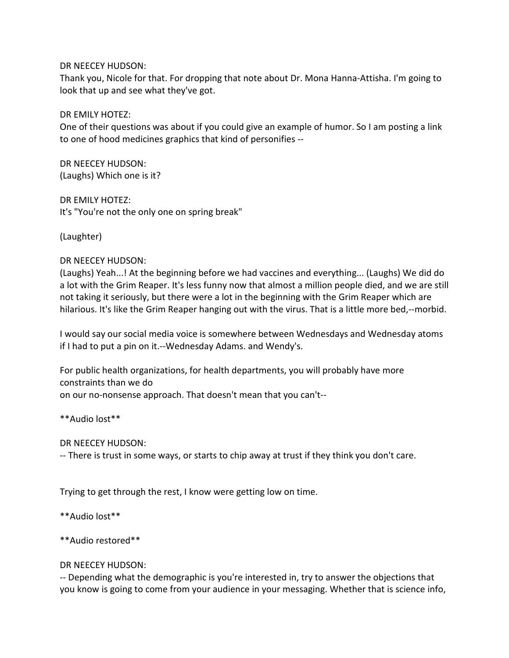DR NEECEY HUDSON:

Thank you, Nicole for that. For dropping that note about Dr. Mona Hanna-Attisha. I'm going to look that up and see what they've got.

DR EMILY HOTEZ:

One of their questions was about if you could give an example of humor. So I am posting a link to one of hood medicines graphics that kind of personifies --

DR NEECEY HUDSON: (Laughs) Which one is it?

DR EMILY HOTEZ: It's "You're not the only one on spring break"

(Laughter)

## DR NEECEY HUDSON:

(Laughs) Yeah...! At the beginning before we had vaccines and everything... (Laughs) We did do a lot with the Grim Reaper. It's less funny now that almost a million people died, and we are still not taking it seriously, but there were a lot in the beginning with the Grim Reaper which are hilarious. It's like the Grim Reaper hanging out with the virus. That is a little more bed,--morbid.

I would say our social media voice is somewhere between Wednesdays and Wednesday atoms if I had to put a pin on it.--Wednesday Adams. and Wendy's.

For public health organizations, for health departments, you will probably have more constraints than we do on our no-nonsense approach. That doesn't mean that you can't--

\*\*Audio lost\*\*

DR NEECEY HUDSON:

-- There is trust in some ways, or starts to chip away at trust if they think you don't care.

Trying to get through the rest, I know were getting low on time.

\*\*Audio lost\*\*

\*\*Audio restored\*\*

DR NEECEY HUDSON:

-- Depending what the demographic is you're interested in, try to answer the objections that you know is going to come from your audience in your messaging. Whether that is science info,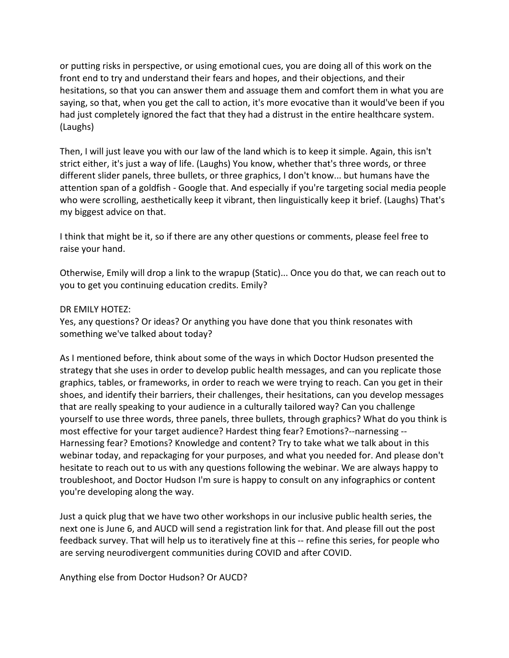or putting risks in perspective, or using emotional cues, you are doing all of this work on the front end to try and understand their fears and hopes, and their objections, and their hesitations, so that you can answer them and assuage them and comfort them in what you are saying, so that, when you get the call to action, it's more evocative than it would've been if you had just completely ignored the fact that they had a distrust in the entire healthcare system. (Laughs)

Then, I will just leave you with our law of the land which is to keep it simple. Again, this isn't strict either, it's just a way of life. (Laughs) You know, whether that's three words, or three different slider panels, three bullets, or three graphics, I don't know... but humans have the attention span of a goldfish - Google that. And especially if you're targeting social media people who were scrolling, aesthetically keep it vibrant, then linguistically keep it brief. (Laughs) That's my biggest advice on that.

I think that might be it, so if there are any other questions or comments, please feel free to raise your hand.

Otherwise, Emily will drop a link to the wrapup (Static)... Once you do that, we can reach out to you to get you continuing education credits. Emily?

### DR EMILY HOTEZ:

Yes, any questions? Or ideas? Or anything you have done that you think resonates with something we've talked about today?

As I mentioned before, think about some of the ways in which Doctor Hudson presented the strategy that she uses in order to develop public health messages, and can you replicate those graphics, tables, or frameworks, in order to reach we were trying to reach. Can you get in their shoes, and identify their barriers, their challenges, their hesitations, can you develop messages that are really speaking to your audience in a culturally tailored way? Can you challenge yourself to use three words, three panels, three bullets, through graphics? What do you think is most effective for your target audience? Hardest thing fear? Emotions?--narnessing -- Harnessing fear? Emotions? Knowledge and content? Try to take what we talk about in this webinar today, and repackaging for your purposes, and what you needed for. And please don't hesitate to reach out to us with any questions following the webinar. We are always happy to troubleshoot, and Doctor Hudson I'm sure is happy to consult on any infographics or content you're developing along the way.

Just a quick plug that we have two other workshops in our inclusive public health series, the next one is June 6, and AUCD will send a registration link for that. And please fill out the post feedback survey. That will help us to iteratively fine at this -- refine this series, for people who are serving neurodivergent communities during COVID and after COVID.

Anything else from Doctor Hudson? Or AUCD?